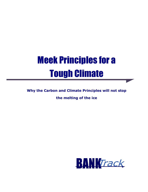# Meek Principles for a Tough Climate

**Why the Carbon and Climate Principles will not stop** 

**the melting of the ice** 

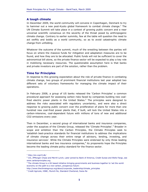#### **A tough climate**

In December 2009, the world community will convene in Copenhagen, Denmark to try to hammer out a new post-Kyoto global framework to combat climate change.<sup>1</sup> The UN Climate Summit will take place in a context of growing public concern and a near universal scientific consensus on the severity of the threat posed by anthropogenic climate change. Contrary to earlier summits, few at the table will question the need to act swiftly and boldly as a world community, so as to avoid catastrophic climate change from unfolding.

Whatever the outcome of the summit, much of the wrestling between the parties will focus on where the massive funds for mitigation and adaptation measures are to be found, and how they are to be allocated. Public funds will not be sufficient to cover the astronomical bill alone, so the private finance sector will be expected to play a key role in mobilizing necessary resources. The questionable assumption here is that banks and private investors are part of the solution, rather than the problem.

#### **Time for Principles**

In response to this growing expectation about the role of private finance in combating climate change, two groups of prominent financial institutions last year adopted two different sets of voluntary frameworks for managing the climate impact of their operations.

In February 2008, a group of US banks released the 'Carbon Principles' a common procedural approach for assessing carbon risks faced by companies building new coalfired electric power plants in the United States.<sup>2</sup> The principles were designed to address the risks associated with regulatory uncertainty, and were also a direct response to growing public concern over the proliferation of plans for more than one hundred new coal-fired power plants that, if built, will lock the United States into a carbon-intensive, coal-dependent future with millions of tons of new and additional CO2 emissions every year.

Then in December, a second group of international banks and insurance companies, under the auspices of the Climate Group, released the 'Climate Principles'.<sup>3</sup> Broader in scope and ambition than the Carbon Principles, the Climate Principles seek to 'establish best-practice standards for financial institutions to address the implications of climate change across their entire range of advisory, lending, investing, and insurance services'. While the Climate Principles were endorsed by only three leading international banks and two insurance companies, $<sup>4</sup>$  its proponents hope the Principles</sup> become the leading climate policy standard for the finance sector.

<sup>1</sup> http://en.cop15.dk/

<sup>&</sup>lt;sup>2</sup> Citi, JPMorgan Chase and Merrill Lynch, Later joined by Bank of America, Credit Suisse and Wells Fargo, see www.carbonprinciples.org

<sup>&</sup>lt;sup>3</sup> The climate Group is a UK based initiative bringing governments and business together to 'set the world economy on the path to a low-carbon, prosperous future'.

http://www.theclimategroup.org/about/corporate\_leadership/climate\_principles

<sup>4</sup> Credit Agricole, HSBC, Munich Re, Standard Chartered, Swiss Re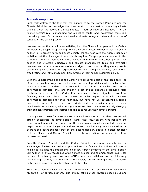#### **A meek response**

BankTrack welcomes the fact that the signatories to the Carbon Principles and the Climate Principles acknowledge that they must do their part in combating climate change. Given the potential climate impacts -- both positive and negative -- of the finance sector's role in mobilizing and allocating capital and investment, there is a compelling need for a robust sector-wide climate safeguard standard or code of conduct for the banking sector.

However, rather than a bold new initiative, both the Climate Principles and the Carbon Principles are deeply disappointing. While they both contain elements that are useful, neither in its present form addresses climate change risks with the rigor, urgency or ambition that the challenge at hand plainly requires. To appropriately respond to this challenge, financial institutions must adopt strong climate protection performance policies and strategic objectives and climate management tools and oversight mechanisms that are as comprehensive and rigorous as those that they already use to ensure compliance with other corporate policies and strategic objectives, such as their credit rating and risk management frameworks or their human resources policies.

Both the Climate Principles and the Carbon Principles fall short of this basic test. Too often, they contain vague or aspirational procedural provisions where substantive, outcome-oriented standards are required. The Carbon Principles are not a performance standard; they are primarily a set of due diligence procedures. More troubling, the existence of the Carbon Principles has not stopped signatory banks from financing new coal plants. The Climate Principles aspire to establish climate performance standards for their financing, but have not yet established a formal process to do so. As a result, both principles do not provide any performance benchmarks for evaluating whether signatories –or their clients- are actually changing their business practices and portfolio decisions to reduce their climate impacts.

In many cases, these frameworks also do not address the risk that their services will actually exacerbate the climate crisis. Rather, they focus on the risks posed to the banks by potential climate change and the uncertainty around anticipated regulatory responses to climate change. Since these issues should already be considered in the exercise of prudent business practice and existing fiduciary duties, it is often not clear that the Climate and Carbon Principles prescribe any action that would differ from business as usual.

Both the Climate Principles and the Carbon Principles appropriately emphasize the wide range of attractive business opportunities that financial institutions will have in helping to facilitate the implementation of low carbon solutions to the climate crisis. But neither initiative recognizes what climate science and common sense clearly tell us: certain other greenhouse gas (GHG) intensive activities are so inherently destabilizing that they can no longer be responsibly funded. No bright lines are drawn, no technologies are excluded, nothing is off the table.

Both the Carbon Principles and the Climate Principles fail to acknowledge that moving *towards* a low carbon economy also implies taking steps towards phasing out and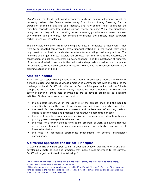*abandoning* the fossil fuel-based economy; such an acknowledgement would by necessity redirect the finance sector away from its continuing financing for the expansion of the oil, gas and coal industry, and fully commit itself to finance the transition towards safe, low and no carbon energy options.<sup>5</sup> While the signatories recognize that they will be operating in an increasingly carbon-constrained business environment going forward, they continue to finance the dirtiest, most backward carbon-intensive technologies.

The inevitable conclusion from reviewing both sets of principles is that even if they were to be adopted tomorrow by every financial institution in the world, they would only result in, at best, a moderate departure from existing business practices. The financing of oil, gas and coal exploration projects from the Arctic to the Antarctic, the construction of pipelines crisscrossing every continent, and the installation of hundreds of new fossil-fuelled power plants that will cast a deep carbon shadow over the planet for decades to come would continue unabated. This is not the response needed to the alarming situation at hand.

#### **Ambition needed**

 $\overline{a}$ 

BankTrack calls upon leading financial institutions to develop a robust framework of climate policies and practices whose ambition is commensurate with the scale of the challenge at hand. BankTrack calls on the Carbon Principles banks, and the Climate Group and its partners, to dramatically ratchet up their ambitions for the finance sector if either of these sets of Principles are to develop credibility as a leading initiative. Such a framework must recognize:

- the scientific consensus on the urgency of the climate crisis and the need to dramatically reduce the level of greenhouse gas emissions as quickly as possible;
- the need for the wide-scale phase-out and replacement of existing carbonintensive technologies and practices over relatively short-time horizons;
- the urgent need for strong, comprehensive, performance-based climate policies in priority greenhouse-gas intensive sectors;
- the need for a clearly-defined time-bound program of work to develop rigorous performance standards for avoiding, minimizing, and publicly reporting on all financed emissions;
- the need to incorporate appropriate mechanisms for external stakeholder participation.

#### **A different approach; the Kiribati Principles**

In 2007 BankTrack called upon banks to abandon window dressing efforts and start developing climate policies and practices that make a real difference to the climate. BankTrack urged banks to do the following:<sup>6</sup>

<sup>&</sup>lt;sup>5</sup> In the vision of BankTrack this would also exclude nuclear energy and large hydro as viable energy options. See position paper mentioned in footnote 8.

<sup>&</sup>lt;sup>6</sup> This outline of bank policies was subsequently dubbed 'the Kiribati Principles', after one of the many lowlying land areas in the world about to be submerged as a result of climate change, and to emphasise the urgency of the situation. For the paper see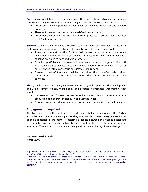**First,** banks must take steps to disentangle themselves from activities and projects that substantially contribute to climate change. Towards this end, they should:

- Phase out their support for all new coal, oil and gas extraction and delivery projects;
- Phase out their support for all new coal-fired power plants;
- Phase out their support for the most harmful practices in other Greenhouse Gas (GHG)-intensive sectors;

**Second,** banks should minimize the extent to which their remaining lending activities and investments contribute to climate change. Towards this end, they should:

- Assess and report on the GHG emissions associated with all their loans, investments and other financial services (financed emissions); this to develop a baseline on which to base reduction targets;
- Establish portfolio and business-unit emissions reduction targets in line with what is considered necessary to stop climate change from unfolding, as based on current scientific consensus on climate stabilization;
- Develop a set of tools and policies that allow them to effectively address climate issues and reduce emissions across their full range of operations and services.

**Third,** banks should drastically increase their lending and support for the development and use of climate-friendly technologies and production processes. Accordingly, they should:

- Increase support for GHG emissions reduction technology, renewable energy production and energy efficiency in all business lines;
- Develop products and services to help retail customers address climate change.

#### **Engagement required**

The two annexes to this statement provide our detailed comments on the Carbon Principles and the Climate Principles as they are now formulated. They are submitted to the signatories in the spirit of fostering a debate between the finance sector and civil society groups -- such as BankTrack -- on how to make these principles, or another sufficiently ambitious standard truly deliver on combating climate change.<sup>7</sup>

Nijmegen, Netherlands March 2009

http://www.banktrack.org/download/a\_challenging\_climate\_what\_banks\_should\_do\_to\_combat\_climate\_ch ange/0\_0\_071212\_a\_challenging\_climate\_final.pdf

 $<sup>7</sup>$  Unfortunately, no such debate or indeed any consultation process has taken place during the drafting</sup> process of the Principles. This already cast doubt on the stated commitment of Carbon Principles signatories to "Engage with our customers, suppliers and wider society to seek opportunities for a low carbon economy".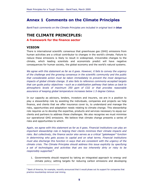# **Annex 1 Comments on the Climate Principles**

**BankTrack comments on the Climate Principles are included in original text in <b>blue** 

# **THE CLIMATE PRINCIPLES:**

**A framework for the finance sector** 

## **VISION**

 $\overline{a}$ 

There is international scientific consensus that greenhouse gas (GHG) emissions from human activities are a critical contributor to changes in the world's climate. Failure to reduce these emissions is likely to result in widespread, irreversible changes to the climate, which leading scientists and economists predict will have negative consequences for human society, the global economy and the world's natural systems.

*We agree with this statement as far as it goes. However, it fails to convey the urgency of the challenge and the growing consensus in the scientific community and the public that considerable action must be taken immediately to prevent the most dangerous impacts of global climate change. It also fails to reference commonly-accepted targets that can guide policy objectives --such as a stabilization pathway that takes us back to atmospheric levels of maximum 350 ppm of CO2 or that provides reasonable assurance of keeping global temperature increases below 1.5 degree Celsius.* 

In our capacity as advisors, lenders, investors and insurers, we are in a position to play a stewardship role by assisting the individuals, companies and projects we help finance, and clients that we offer insurance cover to, to understand and manage the risks, opportunities and adaptation needs relating to climate change. This stewardship role requires us to develop the expertise, products and services necessary to equip our clients and partners to address these challenges. We also recognise we must minimise our operational GHG emissions. We believe that climate change presents a series of risks and opportunities to which:

*Again, we agree with this statement as far as it goes. Financial institutions can play an important stewardship role in helping their clients minimize their climate impacts and risks. But collectively, the finance sector also serves as a critical "gatekeeper" function in determining who gets access to capital and on what terms. Financial institutions must also discharge this function in ways that are consistent with the urgency of the climate crisis. The Climate Principles should address this issue explicitly by specifying a set of technologies and activities that are too inherently dirty or risky to be responsibly supported.<sup>8</sup>*

1. Governments should respond by taking an integrated approach to energy and climate policy; setting targets for reducing carbon emissions and developing

<sup>&</sup>lt;sup>8</sup> Bank of America, for example, recently announced that it would phase out its support for companies that practice mountaintop removal coal mining.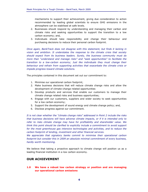mechanisms to support their achievement, giving due consideration to action recommended by leading global scientists to ensure GHG emissions in the atmosphere can be stabilised at safe levels.

- 2. Businesses should respond by understanding and managing their carbon and climate risks and seeking opportunities to support the transition to a low carbon economy; and,
- 3. Individuals should take responsibility and change their behaviour and purchasing decisions to reduce their personal carbon footprint.

*Once again, BankTrack does not disagree with this statement, but finds it lacking in vision and ambition. It understates the response to the climate crisis that society should expect from its business leaders. Surely, the business community must do more than "understand and manage risks" and "seek opportunities" to facilitate the transition to a low-carbon economy; Just like individuals they must change their behaviour and refrain from supporting activities that exacerbate the climate crisis or impede progress toward climate solutions.* 

The principles contained in this document set out our commitment to:

- 1. Minimise our operational carbon footprint;
- 2. Make business decisions that will reduce climate change risks and allow the development of climate-change related opportunities
- 3. Develop products and services that enable our customers to manage their climate change related risks and business opportunities;
- 4. Engage with our customers, suppliers and wider society to seek opportunities for a low carbon economy;
- 5. Support the development of sound energy and climate change policy; and,
- 6. Disclose progress against our commitment.

*It is not clear whether the "climate change risks" addressed in Point 2 include the risks that business decisions will have adverse climate impacts, or if it is intended only to refer to risks climate change may have for profitability and shareholder value. We think this point should be clarified to explicitly include a commitment to avoid support*  for the most greenhouse gas intensive technologies and activities, and to reduce the *carbon footprint of lending, investment and other financial services.* 

*We appreciate that signatory banks commit to minimise their operational carbon footprint but consider this in 2009 an absolute minimal commitment of every business, hardly worth mentioning.* 

We believe that taking a proactive approach to climate change will position us as a leading financial institution in a low carbon economy.

### **OUR ACHIEVEMENT**

**1.0 We have a robust low carbon strategy or position and are managing our operational carbon emissions**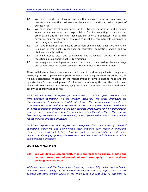- 1.1 We have issued a strategy or position that indicates how we undertake our business in a way that reduces the climate and operational carbon impact of our activities.
- 1.2 We have board level commitment for the strategy or position and a named senior executive who has responsibility for implementing it across our organisation and for ensuring that decisions taken are consistent with it. This executive has the necessary resources to meet the commitments contained in our strategy or position.
- 1.3 We have measured a significant proportion of our operational GHG emissions using an internationally recognised or equivalent domestic standard and we disclose this information.
- 1.4 We have issued clear and challenging, yet achievable, targets for making reductions in our operational GHG emissions.
- 1.5 We engage our employees on our commitment to addressing climate change and support them in playing an active role in meeting this commitment.

These initial steps demonstrate our commitment to addressing climate change and managing our own operational impacts. However, we recognise we must go further, as we have significant influence on the management of climate change risks and the opportunities for the development of a low carbon economy through the deployment of capital. We also commit to engaging with our customers, suppliers and wider society as appropriate to do this.

*BankTrack welcomes the signatory's commitment to reduce operational emissions from business operations. We are unclear, however, why these provisions are characterized as "achievements" while all of the other provisions are labelled as "commitments". One could interpret this distinction to imply that demonstrated action on direct operational emissions is the only concrete prerequisite for new membership, and that a mere commitment to act on other issues is sufficient. If that is the case, we feel that inappropriately prioritizes reducing direct, operational emissions over steps to reduce indirect, financed emissions.* 

*BankTrack appreciates that signatories recognise that they must go beyond operational emissions and acknowledge their influence over clients in managing climate risks. BankTrack believes however that the responsibility of banks goes beyond merely 'engaging as appropriate to do this' and must include action to reduce banks financed emissions.* 

#### **OUR COMMITMENT**

**2.0 We will develop commercially viable approaches to ensure climate and carbon issues are addressed where these apply to our business strategy and activities.** 

*While we understand the importance of seeking commercially viable approaches to deal with climate issues, the formulation above precludes any approaches that are deemed not commercially viable in the short term but that may nevertheless be*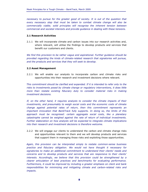*necessary to pursue for the greater good of society. It is out of the question that every necessary step that must be taken to combat climate change will also be commercially viable; solid principles will recognise the inherent tension between commercial and societal interests and provide guidance in dealing with these tensions.* 

#### **2.1 Research Activities**

2.1.1 We will incorporate climate and carbon issues into our research activities and, where relevant, will utilise the findings to develop products and services that benefit our customers and clients.

*We find this provision to be rather vague and aspirational. Further guidance should be provided regarding the kinds of climate-related research that signatories will pursue, and the products and services that they will seek to develop.* 

#### **2.2 Asset Management**

2.2.1 We will enable our analysts to incorporate carbon and climate risks and opportunities into their research and investment decisions where relevant.

*This commitment should be clarified and expanded. If it is intended to refer only to the risks to investments posed by climate change or regulatory interventions, it does little*  more than restate existing fiduciary duty to consider material risks in making *investment decisions.* 

If, on the other hand, it requires analysts to consider the climate impacts of their *investments, and presumably to weigh social costs and the economic costs of climate change against potential rates of return, then this commitment represents an important innovation that BankTrack fully supports. In doing so, the limits of this approach must be recognised: certain aggregate social costs, like a planetary catastrophe cannot be weighed against the rate of return of individual investments. Further elaboration on how analysts will be expected to integrate climate implications into their research and investment decisions is therefore welcome.* 

2.2.2 We will engage our clients to understand the carbon and climate change risks and opportunities relevant to them and we will develop products and services that support them in managing those risks and exploiting those opportunities.

*Again, this provision can be interpreted simply to restate common-sense business practice and fiduciary obligation. We would not have thought it necessary for signatories to make an additional commitment to understand their clients' needs and concerns and to develop products and services that are responsive to their clients' interests. Accordingly, we believe that this provision could be strengthened by a clearer articulation of best practices and benchmarks for evaluating performance. Furthermore, it could be improved by including a greater emphasis on client and bank responsibilities for minimizing and mitigating climate and carbon-related risks and impacts.*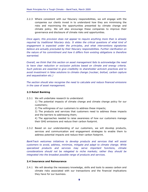2.2.3 Where consistent with our fiduciary responsibilities, we will engage with the companies our clients invest in to understand how they are minimising the risks and maximising the opportunities presented by climate change and climate policy. We will also encourage these companies to improve their governance and disclosure of climate risks and opportunities.

*Once again, this provision does not appear to require anything more than is already*  required by traditional fiduciary duty. It elides the critical questions of what kind of *engagement is expected under the principles, and what interventions signatories believe are actually precluded by their fiduciary responsibilities. Further clarification on the nature of his commitment and how it differs from existing obligations is therefore warranted.* 

*Overall, we think that this section on asset management fails to acknowledge the need to have clear reduction or exclusion policies based on climate and energy criteria. Such policies are essential to give credibility to shareholder activism practices and to avoid investment in false solutions to climate change (nuclear, biofuel, carbon capture and sequestration etc.)* 

*The section should also recognise the need to calculate and reduce financed emissions in the case of asset management.* 

#### **2.3 Retail Banking**

2.3.1 We will undertake research to understand:

1) The potential impacts of climate change and climate change policy for our customers;

2) The willingness of our customers to address these impacts;

3) The products and services that customers need to address these impacts and the barriers to addressing them;

4) The approaches needed to raise awareness of how our customers manage their GHG emissions and reduce their carbon footprint.

2.3.2 Based on our understanding of our customers, we will develop products, services and communication and engagement strategies to enable them to address potential impacts and reduce their carbon footprint.

*BankTrack welcomes initiatives to develop products and services that will assist customers to avoid, address, minimize, mitigate and adapt to climate change. While specialized products and services may serve important functions, climate considerations should not be relegated to niche markets; rather they should be integrated into the broadest possible range of products and services.* 

#### **2.4 Insurance and Reinsurance**

2.4.1 We will develop the necessary knowledge, skills and tools to assess carbon and climate risks associated with our transactions and the financial implications they have for our business.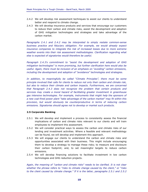- 2.4.2 We will develop risk assessment techniques to assist our clients to understand better and respond to climate change.
- 2.4.3 We will develop insurance products and services that encourage our customers to reduce their carbon and climate risks, assist the development and adoption of GHG mitigation technologies and strategies and take advantage of the carbon market.

*Paragraphs 2.4.1 and 2.4.2 may be interpreted to simply restate common-sense business practice and fiduciary obligation. For example, we would already expect insurance companies to integrate the risk of increased losses due to more extreme weather events into their risk assessment methodologies. Clarification regarding what else is expected of signatories would therefore be useful.* 

*Paragraph 2.4.3's commitment to "assist the development and adoption of GHG mitigation technologies" is more promising, but further clarification here would also be useful. Again, there must be inclusion of an emphasis on "avoiding" carbon emissions, including the development and adoption of "avoidance" technologies and strategies.* 

In addition, to meaningfully be called "Climate Principles", there must be some *principle involved that calls for clients to reduce not only their carbon and climate risk, but also to reduce their climate and carbon impacts. Furthermore, we are concerned that Paragraph 2.4.3 does not recognize the problem that certain products and services may create a moral hazard of facilitating greater investment in greenhouse gas intensive technologies. For example, instruments that might help the sponsors of a new coal-fired power plant "take advantage of the carbon market" may fit within this provision, but would obviously be counterproductive in terms of reducing carbon emissions. Signatories should agree not to develop or market such products.*

#### **2.5 Corporate Banking**

- 2.5.1 We will develop and implement a process to consistently assess the financial implications of carbon and climate risks relevant to our clients and will train employees to implement this assessment.
- 2.5.2 We will consider practical ways to assess the carbon and climate risks of our lending and investment activities. Where a feasible and relevant methodology can be found, we will develop and implement this approach.
- 2.5.3 We will engage our clients to understand the carbon and climate risks and opportunities associated with their business. This might include encouraging them to develop a strategy to manage these risks; to measure and disclosure their carbon footprint; and, to set meaningful targets to reduce carbon emissions.
- 2.5.4 We will develop financing solutions to facilitate investment in low carbon technologies and GHG reduction projects.

*Again, the meaning of "carbon and climate risks" needs to be clarified. It is not clear whether the phrase refers to "risks to climate change caused by the client," or "risks to the client caused by climate change." If it is the latter, paragraphs 2.5.1 and 2.5.2*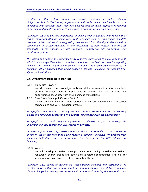*do little more than restate common sense business practices and existing fiduciary obligations. If it is the former, expectations and performance benchmarks must be developed and specified. BankTrack also believes that an active approach is required to develop and adopt common methodologies to account for financed emissions.* 

*Paragraph 2.5.3 raises the importance of having clients disclose and reduce their carbon footprints (though using very weak language such as 'this might include'). However, it falls well short of suggesting that support from the signatories should be conditioned on accomplishment of any meaningful carbon footprint performance standards. In the absence of such standards, compliance with paragraph 2.5.3 requires very little.* 

*This paragraph should be strengthened by requiring signatories to make a good faith effort to encourage their clients to at least adopt sectoral best practices for reporting avoiding and minimizing greenhouse gas emissions. It should also incorporate an exclusion list of activities that would render a company ineligible for support from signatory institutions.*

#### **2.6 Investment Banking & Markets**

2.6.1 *Corporate Advisory*

We will develop the knowledge, tools and skills necessary to advise our clients of the potential financial implications of carbon and climate risks and opportunities associated with their business transactions.

2.6.2 *Structured Lending & Venture Capital* We will develop viable financing solutions to facilitate investment in low carbon technologies and GHG reduction projects.

*Paragraphs 2.6.1 and 2.6.2 simply restate common sense practices for assisting clients and remaining competitive in a climate-constrained business environment.* 

*Paragraph 2.6.2 should require signatories to develop a priority strategy for investments in low carbon and GHG reduction projects.* 

*As with corporate banking, these provisions should be amended to incorporate an exclusion list of activities that would render a company ineligible for support from signatory institutions and set performance targets reducing the GHG intensity of financing.* 

#### 2.6.3 *Trading*

We will develop expertise to support emissions trading, weather derivatives, renewable energy credits and other climate related commodities, and look for ways to play a constructive role in promoting these.

*Paragraph 2.6.3 seems to assume that these trading schemes and instruments will develop in ways that are socially beneficial and will improve our ability to manage climate change by creating new incentive structures and reducing the economic costs*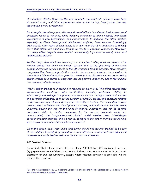*of mitigation efforts. However, the way in which cap-and-trade schemes have been structured so far, and initial experiences with carbon trading, have proven that this assumption is very problematic.* 

*For example, the widespread reliance and use of offsets has allowed business-as-usual emissions levels to continue, while delaying incentives to make needed, immediate investments in new technologies and infrastructure. In addition, the offset market, especially in Clean Development Mechanism projects, have become increasingly problematic. After years of experience, it is now clear that it is impossible to reliably prove that offsets are additional, leading to real GHG emission reductions. Moreover, too many offset projects have created unacceptably high environmental, social and human rights impacts.* 

*Another major flaw which has been exposed in carbon trading schemes relates to the windfall profits that many companies "earned" due to the give-away of emissions permits during the earlier phases of the EU Emissions Trading Scheme. More recently, companies that have cut production due to the economic downturn have cashed in some Euro 1 billion of emissions permits, resulting in a collapse in carbon prices. Using carbon credits as a source of easy cash has no positive impact on, and in fact inhibits real action on climate change.* 

*Finally, carbon trading is impossible to regulate on every level. The offset market faces insurmountable challenges with verification, including problems relating to additionality and leakage. The primary market for carbon trading is beset with current*  and potential difficulties, such as the problem of windfall profits, and concerns relating *to the transparency of over-the-counter derivatives trading. The secondary carbon market, which will eventually dwarf primary markets, will be dominated by speculative investors, paving the way for the kinds of financial innovation that can be become excessively risky in bubble economy. As the current economic crisis has demonstrated, the "originate-and-distribute" model creates deep interlinkages between financial markets, and a potential collapse in the carbon markets would have severe environmental and financial consequences.<sup>9</sup>*

*Given the above, BankTrack thinks that banks should not assume 'trading' to be part of the solution. Instead, they should focus their attention on other activities which will more demonstrably lead to real reductions in carbon emissions.* 

#### **2.7 Project Finance**

 $\overline{a}$ 

For projects that release or are likely to release 100,000 tons CO<sub>2</sub> equivalent per year (aggregate emissions of direct sources and indirect sources associated with purchased electricity for own consumption), except where justified deviation is provided, we will request the client to:

<sup>&</sup>lt;sup>9</sup> See the recent report of FoE US `Subprime Carbon? Re-thinking the World's Largest New Derivatives Market', available on BankTrack website; publications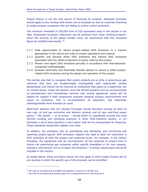*Project finance is not the only source of financing for projects. Adequate principles should apply to any lending with known use of proceeds as well as corporate financing to single purpose companies that are failing to control carbon emissions.* 

*The minimum threshold of 100,000 tons of CO2 equivalent used in this section is too high. Substantial emissions reductions can be achieved from lower emitting projects. Given the severity of the global climate crisis, we recommend that this threshold figure be modified downwards.<sup>10</sup>*

- 2.7.1 Seek opportunities to reduce project-related GHG emissions in a manner appropriate to the nature and scale of project operations and impacts.
- 2.7.2 Quantify and disclose direct GHG emissions and indirect GHG emissions associated with the offsite production of power used by the project.
- 2.7.3 Monitor and report GHG emissions annually in accordance with internationallyrecognised methodologies.
- 2.7.4 Evaluate technically and financially feasible options to reduce or offset projectrelated GHG emissions during the design and operation of the project.

*This section also fails to recognize that certain projects are so dirty or greenhouse gas intensive that they are fundamentally incompatible with responsible climate stewardship, and should not be financed by institutions that aspire to a leadership role on climate issues. Under this section, even the dirtiest projects such as unconventional oil development and mountaintop removal coal mining apparently would still be eligible for support if their proponents evaluate marginal process improvements and report on emissions. This is incrementalism ad absurdum, and essentially indistinguishable from business as usual.* 

BankTrack believes that the Climate Principles should therefore exclude at least all *new coal, oil and gas extraction and delivery projects and all new coal-fired power plants.<sup>11</sup> The section -– or an annex -- should either (1) specifically exclude the most*  harmful existing and emerging practices in other GHG-intensive sectors, or (2) *articulate a set of best practices in each sector that will be prerequisites for financing. These standards should then tighten over time.* 

*In addition, the emphasis only on quantifying and disclosing, and monitoring and reporting project-specific GHG emissions neglects the need to seek net reductions in GHG emissions at both the project and corporate levels. For example, in the Carbon Principles, the signatories look for commitments "at the corporate or project level to reduce net greenhouse gas emissions within specific timetables or for new capacity, making a commitment not to increase net emissions." A similar requirement should be included in this section.* 

*As stated above, these provisions should not only apply to strict project finance but to any lending in which the specific use of the proceeds can be identified.* 

<sup>&</sup>lt;sup>10</sup> We note for example that the EBRD has adopted a minimum of 20.000 tons.

 $11$  We refer to the BankTrack position paper for a comprehensive list. See footnote 6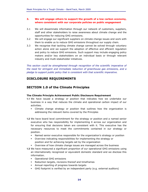#### **3. We will engage others to support the growth of a low carbon economy, where consistent with our corporate policies on public engagement**

- 3.1 We will disseminate information through our network of customers, suppliers, staff and other stakeholders to raise awareness about climate change and the opportunities for reducing GHG emissions.
- 3.2 We will engage our significant suppliers on climate change issues and work with them to enable us to reduce GHG emissions throughout our supply chain.
- 3.3 We recognise that tackling climate change cannot be solved through voluntary action alone and we support the adoption of effective and efficient regulation and policy to reduce GHG emissions. Such support may include engaging policy makers and/or key stakeholders on an individual basis or through relevant industry and multi-stakeholder initiatives.

*This section could be strengthened through recognition of the scientific imperative of the need for stringent and immediate reduction of greenhouse gas emissions, and a pledge to support public policy that is consistent with that scientific imperative.* 

## **DISCLOSURE REQUIREMENTS**

## **SECTION 1.0 of the Climate Principles**

#### **The Climate Principle Achievement Public Disclosure Requirement**

- **1.1** We have issued a strategy or position that indicates how we undertake our business in a way that reduces the climate and operational carbon impact of our activities.
	- Climate change strategy or position that outlines how the organization is addressing the relevant items covered by the Principles
- **1.2** We have board level commitment for the strategy or position and a named senior executive who has responsibility for implementing it across our organization and for ensuring that decisions taken are consistent with it. This executive has the necessary resources to meet the commitments contained in our strategy or position.
	- Named senior executive responsible for the organization's strategy or position
	- Overview indicating responsibilities for implementing the strategy or position and for achieving targets set by the organization
	- Overview of how climate change issues are managed across the business
- **1.3** We have measured a significant proportion of our operational GHG emissions using an internationally recognized or equivalent domestic standard and we disclose this information.
	- Operational GHG emissions
	- Reduction targets, revisions thereof and timeframes
	- Annual reporting of progress towards targets
	- GHG footprint is verified by an independent party (e.g. external auditors)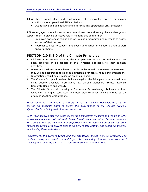- **1.4** We have issued clear and challenging, yet achievable, targets for making reductions in our operational GHG emissions.
	- Quantitative and qualitative targets for reducing operational GHG emissions.

**1.5** We engage our employees on our commitment to addressing climate change and support them in playing an active role in meeting this commitment.

- Employee awareness raising and/or training programme and methods to assess success of that process
- Approaches used to support employees take action on climate change at work and/or at home

## **SECTION 2.0 & 3.0 of the Climate Principles**

- 1 All financial institutions adopting the Principles are required to disclose what has been achieved on all aspects of the Principles applicable to their business activities.
- 2 Where financial institutions have not fully implemented the relevant requirements, they will be encouraged to disclose a timeframe for achieving full implementation.
- 3 Information should be disclosed on an annual basis.
- 4 The Climate Group will review disclosure against the Principles on an annual basis using publicly available information, (eg. Carbon Disclosure Project response, Corporate Reports and website).
- 5 The Climate Group will develop a framework for reviewing disclosure and for identifying emerging consistent and best practice which will be agreed by the group of adopting organizations.

*These reporting requirements are useful as far as they go. However, they do not provide an adequate basis to assess the performance of the Climate Principle signatories in reducing their financed emissions.* 

*BankTrack believes that it is essential that the signatories measure and report on GHG emissions associated with all their loans, investments, and other financial services. They should also establish and disclose portfolio and business-unit emissions reduction targets consistent with current science on climate stabilization, and report on progress in achieving those objectives.* 

*Furthermore, the Climate Group and the signatories should work to establish, and publicly share, consistent methodologies for measuring financed emissions and tracking and reporting on efforts to reduce these emissions over time.*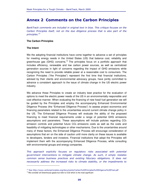# **Annex 2 Comments on the Carbon Principles**

*BankTrack comments are included in original text in blue. This critique focuses on the Carbon Principles itself, not on the due diligence process that is also part of the principles.<sup>12</sup>*

#### **The Carbon Principles**

#### **The Intent**

 $\overline{a}$ 

We the adopting financial institutions have come together to advance a set of principles for meeting energy needs in the United States (US) that balance cost, reliability and greenhouse gas (GHG) concerns.<sup>13</sup> The principles focus on a portfolio approach that includes efficiency, renewable and low carbon power sources, as well as centralized generation sources in light of concerns regarding the impact of GHG emissions while recognizing the need to provide reliable power at a reasonable cost to consumers. The Carbon Principles ("the Principles") represent the first time that financial institutions, advised by their clients and environmental advocacy groups, have jointly committed to advance a consistent approach to the issue of climate change in the US electric power industry.

We advance these Principles to create an industry best practice for the evaluation of options to meet the electric power needs of the US in an environmentally responsible and cost effective manner. When evaluating the financing of new fossil fuel generation we will be guided by the Principles and employ the accompanying Enhanced Environmental Diligence Process (the "Enhanced Diligence Process") to assess project economics and financing parameters related to the uncertainties around current climate change policy in the US. The Enhanced Diligence Process will evaluate the ability of the proposed financing to meet financial requirements under a range of potential GHG emissions assumptions and parameters. These assumptions will include policies regarding  $CO<sub>2</sub>$ emission controls and potential future  $CO<sub>2</sub>$  emissions costs as well as the costs and feasibility of mitigating technologies or other mechanisms. Due to the uncertainties around many of these factors, the Enhanced Diligence Process will encourage consideration of assumptions that err on the side of caution until more clarity on these issues is available to developers, lenders and investors. Financial institutions that adopt the Principles will implement them with the accompanying Enhanced Diligence Process, while consulting with environmental groups and energy companies.

*This approach explicitly focuses on regulatory risks associated with potential government interventions to mitigate climate change. As such, it simply restates common sense business practices and existing fiduciary obligations. It does not necessarily address the increased risks to climate stability, or the impediments to*

<sup>12</sup> See http://www.carbonprinciples.org/documents/Carbon%20Principles%20Diligence%20Final.pdf

<sup>&</sup>lt;sup>13</sup> We consider all Greenhouse gases but refer to CO2 which is the most significant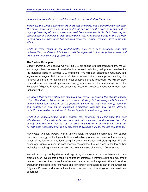*more climate friendly energy solutions that may be created by the project.* 

*Moreover, the Carbon principles are a process standard, not a performance standard. Therefore, banks have made no commitment one way or the other in terms of their ongoing financing of new conventional coal fired power plants. In fact, financing for construction of a number of new conventional coal fired power plants in the US from Carbon Principle signatories has occurred since the Carbon Principles have come into effect.* 

*While an initial focus on the United States may have been justified, BankTrack*  believes that the Carbon Principles should be expanded to include potential new coal *fired power finance in any jurisdiction.*

#### **The Carbon Principles**

*Energy efficiency.* An effective way to limit  $CO<sub>2</sub>$  emissions is to not produce them. We will encourage clients to invest in cost-effective demand reduction, taking into consideration the potential value of avoided  $CO<sub>2</sub>$  emissions. We will also encourage regulatory and legislative changes that increase efficiency in electricity consumption including the removal of barriers to investment in cost-effective demand reduction. We will consider demand reduction caused by increased energy efficiency (or other means) as part of the Enhanced Diligence Process and assess its impact on proposed financings of new fossil fuel generation.

*We agree that energy efficiency measures are critical to solving the climate change crisis. The Carbon Principles should more explicitly prioritize energy efficiency and demand reduction measures as the preferred solution for satisfying energy demand,*  and consider investment in increased production capacity only where demand *reduction alternatives are shown to be inadequate to meet energy needs.* 

*While it is understandable in this context that emphasis is placed upon the 'cost effectiveness' of investments, we note that this may lead to the obstruction of a energy shift that may not be cost effective in short term, conventional terms but nevertheless necessary from the perspective of avoiding a global climate catastrophe.* 

Renewable and low carbon energy technologies. Renewable energy and low carbon distributed energy technologies hold considerable promise for meeting the electricity needs of the US while also leveraging American technology and creating jobs. We will encourage clients to invest in cost-effective renewables, fuel cells and other low carbon technologies, taking into consideration the potential value of avoided  $CO<sub>2</sub>$  emissions

We will also support legislative and regulatory changes that remove barriers to, and promote such investments (including related investments in infrastructure and equipment needed to support the connection of renewable sources to the system). We will consider production increases from renewable and low carbon generation as part of the Enhanced Diligence Process and assess their impact on proposed financings of new fossil fuel generation.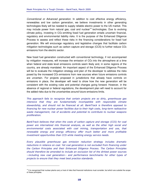Conventional or Advanced generation. In addition to cost effective energy efficiency, renewables and low carbon generation, we believe investments in other generating technologies likely will be needed to supply reliable electric power to the US market. This may include power from natural gas, coal and nuclear<sup>14</sup> technologies. Due to evolving climate policy, investing in CO2-emitting fossil fuel generation entails uncertain financial, regulatory and environmental liability risks. It is the purpose of the Enhanced Diligence Process to assess and reflect these risks in the financing considerations for fossil fuel generation. We will encourage regulatory and legislative changes that facilitate carbon mitigation technologies such as carbon capture and storage (CCS) to further reduce  $CO<sub>2</sub>$ emissions from the electric sector.

New fossil fuel generation constructed with conventional technology, if not accompanied by mitigation measures, will increase the emission of  $CO<sub>2</sub>$  into the atmosphere at a time when federal and state level emissions controls seem likely and, in some regions of the country, are already mandated. An important aspect of the Enhanced Diligence Process will be to evaluate the mitigation strategy and plan of the developer to address the risks posed by the increased CO2 emissions from new sources when future emissions controls are uncertain. For projects proposed in jurisdictions that already have controls on emissions in place, the developer will need to show how the new generation will be consistent with the existing rules and potential changes going forward. However, in the absence of regional or federal regulations, the development plan will need to account for the added risks due to the uncertainties around future emissions limits.

*This approach fails to recognize that certain projects are so dirty, greenhouse gas intensive that they are fundamentally incompatible with responsible climate stewardship, and should not be financed at all. BankTrack is therefore opposed to financing for new nuclear power facilities due to their high costs, long-term radioactive waste management, risk of accidents and potential to contribute to nuclear weapons proliferation.* 

*BankTrack believes that when the costs of carbon capture and storage (CCS) for coal power are internalized into financial analysis, as well as the other high social and environmental costs associated with coal mining, transportation and use, that renewable energy and energy efficiency offer much better and more profitable investment opportunities than CCS while meeting energy service needs.* 

*Every plausible greenhouse gas emission reduction strategy includes dramatic reductions in reliance on coal. Yet coal generation is not excluded from financing under the Carbon Principles and their Enhanced Diligence Process. The Carbon Principles should therefore be amended to include an exclusion list of the dirtiest power sources --including new coal generation-- and performance benchmarks for other types of projects to ensure that they meet best practice standards.* 

<sup>&</sup>lt;sup>14</sup> It is recognized that nuclear plants carry a host of risks that financial institutions must consider, but which are outside the scope of these principles.